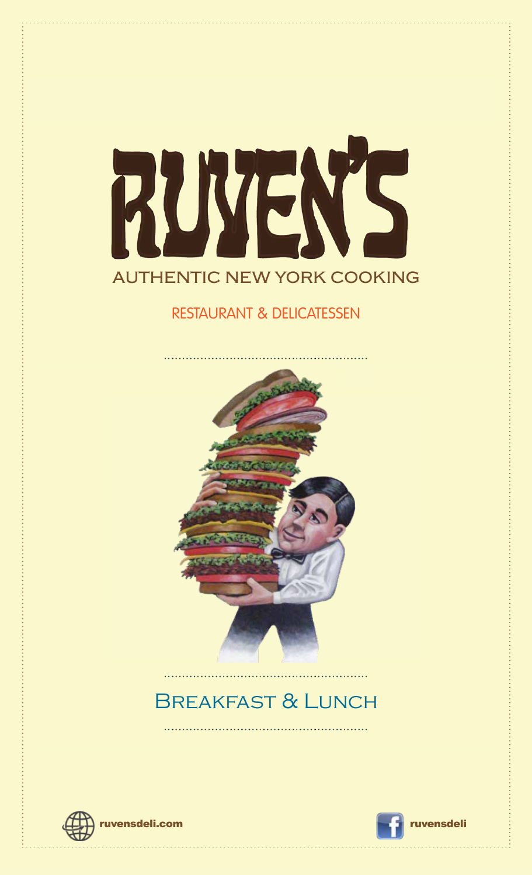

### RESTAURANT & DELICATESSEN



## Breakfast & Lunch



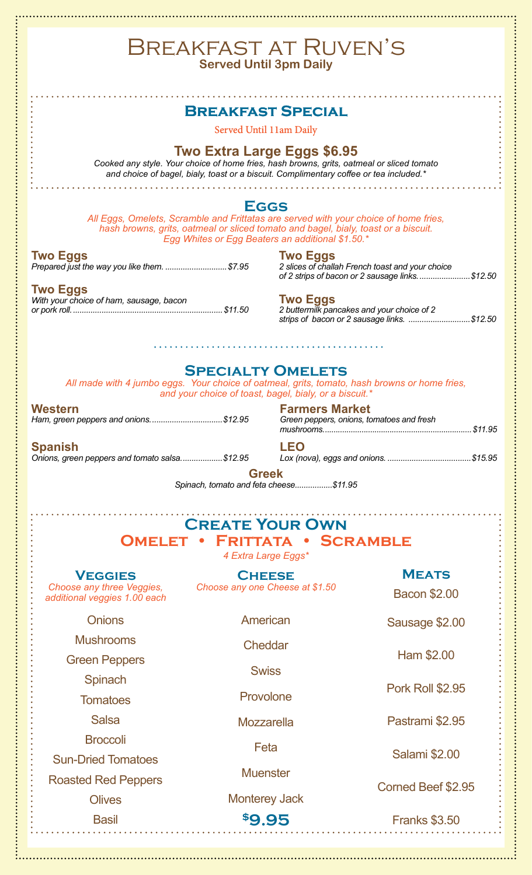#### Breakfast at Ruven's **Served Until 3pm Daily Breakfast Special** Served Until 11am Daily **Two Extra Large Eggs \$6.95** *Cooked any style. Your choice of home fries, hash browns, grits, oatmeal or sliced tomato and choice of bagel, bialy, toast or a biscuit. Complimentary coffee or tea included.\** **Eggs** *All Eggs, Omelets, Scramble and Frittatas are served with your choice of home fries, hash browns, grits, oatmeal or sliced tomato and bagel, bialy, toast or a biscuit. Egg Whites or Egg Beaters an additional \$1.50.\** **Two Eggs Two Eggs** *Prepared just the way you like them. ............................\$7.95 2 slices of challah French toast and your choice of 2 strips of bacon or 2 sausage links........................\$12.50* **Two Eggs Two Eggs** *With your choice of ham, sausage, bacon or pork roll.....................................................................\$11.50 2 buttermilk pancakes and your choice of 2 strips of bacon or 2 sausage links. ............................\$12.50* **Specialty Omelets** *All made with 4 jumbo eggs. Your choice of oatmeal, grits, tomato, hash browns or home fries, and your choice of toast, bagel, bialy, or a biscuit.\** **Western Farmers Market** *Ham, green peppers and onions.................................\$12.95 Green peppers, onions, tomatoes and fresh mushrooms.....................................................................\$11.95* **Spanish LEO** *Lox (nova), eggs and onions. ......................................\$15.95 Onions, green peppers and tomato salsa...................\$12.95*

**Greek**

*Spinach, tomato and feta cheese.................\$11.95*

| <b>CREATE YOUR OWN</b><br><b>OMELET</b><br>• FRITTATA • SCRAMBLE<br>4 Extra Large Eggs* |                                                  |                                     |
|-----------------------------------------------------------------------------------------|--------------------------------------------------|-------------------------------------|
| <b>VEGGIES</b><br>Choose any three Veggies,<br>additional veggies 1.00 each             | <b>CHEESE</b><br>Choose any one Cheese at \$1.50 | <b>MEATS</b><br><b>Bacon \$2.00</b> |
| <b>Onions</b>                                                                           | American                                         | Sausage \$2.00                      |
| <b>Mushrooms</b><br><b>Green Peppers</b>                                                | Cheddar<br><b>Swiss</b>                          | Ham \$2.00                          |
| Spinach<br><b>Tomatoes</b>                                                              | Provolone                                        | <b>Pork Roll \$2.95</b>             |
| <b>Salsa</b>                                                                            | Mozzarella                                       | Pastrami \$2.95                     |
| <b>Broccoli</b><br><b>Sun-Dried Tomatoes</b>                                            | Feta                                             | <b>Salami \$2.00</b>                |
| <b>Roasted Red Peppers</b><br><b>Olives</b>                                             | <b>Muenster</b><br><b>Monterey Jack</b>          | Corned Beef \$2.95                  |
| <b>Basil</b>                                                                            | <b>\$9.95</b>                                    | <b>Franks \$3.50</b>                |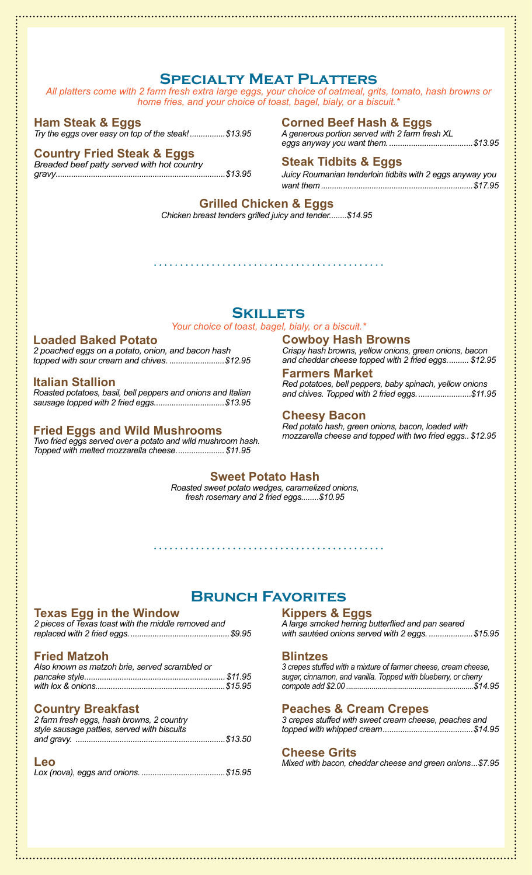### **Specialty Meat Platters**

*All platters come with 2 farm fresh extra large eggs, your choice of oatmeal, grits, tomato, hash browns or home fries, and your choice of toast, bagel, bialy, or a biscuit.\**

#### **Ham Steak & Eggs**

*Try the eggs over easy on top of the steak!................\$13.95*

#### **Country Fried Steak & Eggs**

*Breaded beef patty served with hot country gravy.............................................................................\$13.95*

#### **Corned Beef Hash & Eggs**

*A generous portion served with 2 farm fresh XL eggs anyway you want them.......................................\$13.95*

#### **Steak Tidbits & Eggs**

*Juicy Roumanian tenderloin tidbits with 2 eggs anyway you want them.....................................................................\$17.95*

#### **Grilled Chicken & Eggs**

*Chicken breast tenders grilled juicy and tender........\$14.95*

#### **Skillets**

*Your choice of toast, bagel, bialy, or a biscuit.\**

#### **Loaded Baked Potato**

*2 poached eggs on a potato, onion, and bacon hash topped with sour cream and chives. .........................\$12.95*

#### **Italian Stallion**

*Roasted potatoes, basil, bell peppers and onions and Italian sausage topped with 2 fried eggs................................\$13.95*

#### **Fried Eggs and Wild Mushrooms**

*Two fried eggs served over a potato and wild mushroom hash. Topped with melted mozzarella cheese......................\$11.95*

### **Cowboy Hash Browns**

*Crispy hash browns, yellow onions, green onions, bacon and cheddar cheese topped with 2 fried eggs.......... \$12.95*

#### **Farmers Market**

*Red potatoes, bell peppers, baby spinach, yellow onions and chives. Topped with 2 fried eggs.........................\$11.95*

#### **Cheesy Bacon**

*Red potato hash, green onions, bacon, loaded with mozzarella cheese and topped with two fried eggs.. \$12.95*

#### **Sweet Potato Hash**

*Roasted sweet potato wedges, caramelized onions, fresh rosemary and 2 fried eggs........\$10.95*

### **Brunch Favorites**

#### **Texas Egg in the Window**

*2 pieces of Texas toast with the middle removed and replaced with 2 fried eggs..............................................\$9.95*

#### **Fried Matzoh**

| Also known as matzoh brie, served scrambled or |  |
|------------------------------------------------|--|
|                                                |  |
|                                                |  |

#### **Country Breakfast**

| 2 farm fresh eggs, hash browns, 2 country   |
|---------------------------------------------|
| style sausage patties, served with biscuits |
|                                             |

| Leo |  |
|-----|--|
|     |  |

### **Kippers & Eggs**

*A large smoked herring butterflied and pan seared with sautéed onions served with 2 eggs. ....................\$15.95*

#### **Blintzes**

*3 crepes stuffed with a mixture of farmer cheese, cream cheese, sugar, cinnamon, and vanilla. Topped with blueberry, or cherry compote add \$2.00 .................................................................\$14.95*

#### **Peaches & Cream Crepes**

| 3 crepes stuffed with sweet cream cheese, peaches and |  |  |
|-------------------------------------------------------|--|--|
|                                                       |  |  |

#### **Cheese Grits**

*Mixed with bacon, cheddar cheese and green onions...\$7.95*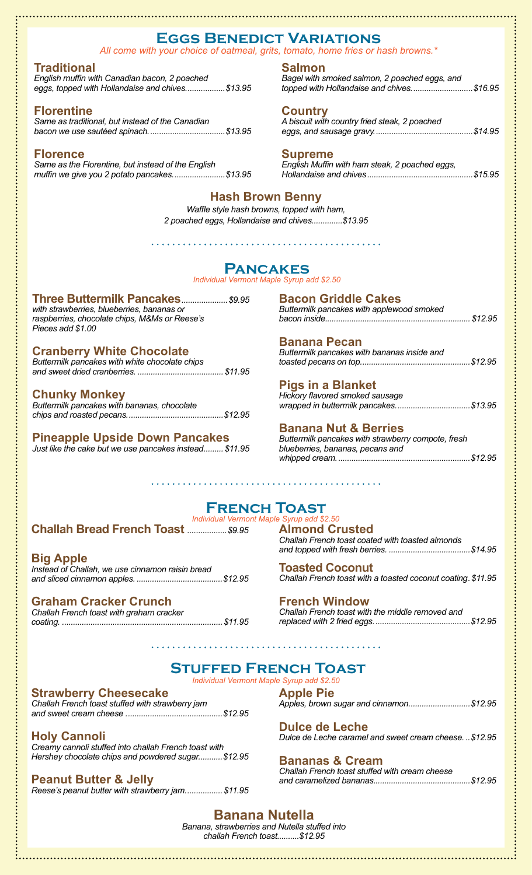### **Eggs Benedict Variations**

*All come with your choice of oatmeal, grits, tomato, home fries or hash browns.\**

#### **Traditional**

*English muffin with Canadian bacon, 2 poached eggs, topped with Hollandaise and chives..................\$13.95*

#### **Florentine**

*Same as traditional, but instead of the Canadian bacon we use sautéed spinach...................................\$13.95*

#### **Florence**

*Same as the Florentine, but instead of the English muffin we give you 2 potato pancakes........................\$13.95*

#### **Salmon**

*Bagel with smoked salmon, 2 poached eggs, and topped with Hollandaise and chives............................\$16.95*

#### **Country**

*A biscuit with country fried steak, 2 poached eggs, and sausage gravy.............................................\$14.95*

#### **Supreme**

*English Muffin with ham steak, 2 poached eggs, Hollandaise and chives................................................\$15.95*

### **Hash Brown Benny**

*Waffle style hash browns, topped with ham, 2 poached eggs, Hollandaise and chives..............\$13.95*

### **Pancakes**

*Individual Vermont Maple Syrup add \$2.50*

#### **Three Buttermilk Pancakes***.....................\$9.95*

*with strawberries, blueberries, bananas or raspberries, chocolate chips, M&Ms or Reese's Pieces add \$1.00*

#### **Cranberry White Chocolate**

*Buttermilk pancakes with white chocolate chips and sweet dried cranberries. .......................................\$11.95*

#### **Chunky Monkey**

*Buttermilk pancakes with bananas, chocolate chips and roasted pecans............................................\$12.95*

### **Pineapple Upside Down Pancakes**

*Just like the cake but we use pancakes instead.........\$11.95*

#### **Bacon Griddle Cakes**

*Buttermilk pancakes with applewood smoked bacon inside..................................................................\$12.95* 

#### **Banana Pecan**

*Buttermilk pancakes with bananas inside and toasted pecans on top..................................................\$12.95*

#### **Pigs in a Blanket**

| Hickory flavored smoked sausage         |  |
|-----------------------------------------|--|
| wrapped in buttermilk pancakes. \$13.95 |  |

### **Banana Nut & Berries**

*Buttermilk pancakes with strawberry compote, fresh blueberries, bananas, pecans and whipped cream.............................................................\$12.95*

#### **French Toast** *Individual Vermont Maple Syrup add \$2.50*

### **Challah Bread French Toast** *..................\$9.95*

**Big Apple** *Instead of Challah, we use cinnamon raisin bread and sliced cinnamon apples. .......................................\$12.95*

#### **Graham Cracker Crunch**

*Challah French toast with graham cracker coating. .........................................................................\$11.95* **Almond Crusted** *Challah French toast coated with toasted almonds and topped with fresh berries. .....................................\$14.95*

**Toasted Coconut** *Challah French toast with a toasted coconut coating.\$11.95*

**French Window** *Challah French toast with the middle removed and replaced with 2 fried eggs............................................\$12.95*

### **Stuffed French Toast**

*Individual Vermont Maple Syrup add \$2.50*

#### **Strawberry Cheesecake**

*Challah French toast stuffed with strawberry jam and sweet cream cheese ............................................\$12.95*

#### **Holy Cannoli**

*Creamy cannoli stuffed into challah French toast with Hershey chocolate chips and powdered sugar...........\$12.95*

#### **Peanut Butter & Jelly**

*Reese's peanut butter with strawberry jam.................\$11.95*

**Apple Pie** *Apples, brown sugar and cinnamon............................\$12.95*

**Dulce de Leche** *Dulce de Leche caramel and sweet cream cheese. ..\$12.95*

### **Bananas & Cream**

*Challah French toast stuffed with cream cheese and caramelized bananas............................................\$12.95*

**Banana Nutella** *Banana, strawberries and Nutella stuffed into* 

*challah French toast..........\$12.95*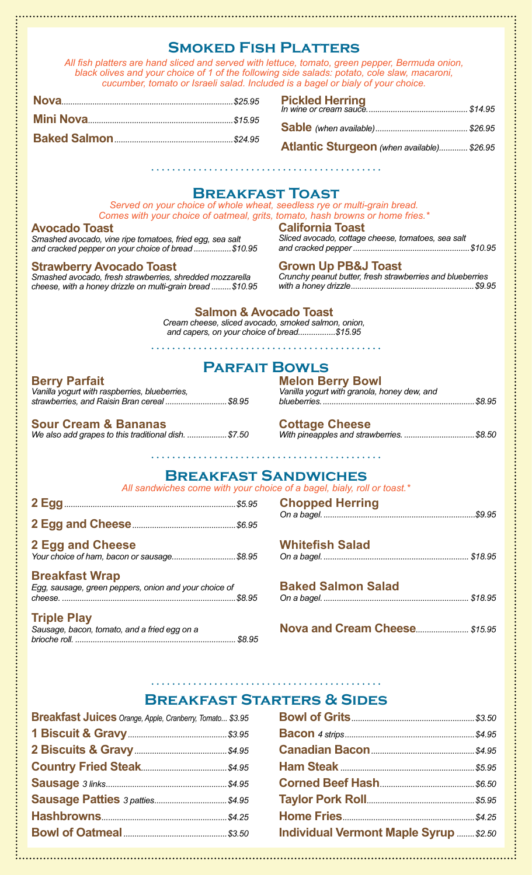### **Smoked Fish Platters**

*All fish platters are hand sliced and served with lettuce, tomato, green pepper, Bermuda onion, black olives and your choice of 1 of the following side salads: potato, cole slaw, macaroni, cucumber, tomato or Israeli salad. Included is a bagel or bialy of your choice.*

**Pickled Herring** *In wine or cream sauce.............................................. \$14.95*

| Atlantic Sturgeon (when available) \$26.95 |  |
|--------------------------------------------|--|

### **Breakfast Toast**

*Served on your choice of whole wheat, seedless rye or multi-grain bread. Comes with your choice of oatmeal, grits, tomato, hash browns or home fries.\**

#### **Avocado Toast**

*Smashed avocado, vine ripe tomatoes, fried egg, sea salt and cracked pepper on your choice of bread .................\$10.95*

#### **Strawberry Avocado Toast**

*Smashed avocado, fresh strawberries, shredded mozzarella cheese, with a honey drizzle on multi-grain bread .........\$10.95* 

## *and cracked pepper .....................................................\$10.95*

**California Toast** 

**Grown Up PB&J Toast**  *Crunchy peanut butter, fresh strawberries and blueberries* 

*Sliced avocado, cottage cheese, tomatoes, sea salt* 

*with a honey drizzle........................................................\$9.95*

#### **Salmon & Avocado Toast**

*Cream cheese, sliced avocado, smoked salmon, onion, and capers, on your choice of bread.................\$15.95*

. . . . . . . . . . . . . . . .

**Parfait Bowls**

#### **Berry Parfait**

*Vanilla yogurt with raspberries, blueberries, strawberries, and Raisin Bran cereal ............................\$8.95*

#### **Sour Cream & Bananas**

*We also add grapes to this traditional dish. ..................\$7.50*

| <b>Melon Berry Bowl</b>                     |  |
|---------------------------------------------|--|
| Vanilla yogurt with granola, honey dew, and |  |
|                                             |  |

**Cottage Cheese**

#### **Breakfast Sandwiches**

*All sandwiches come with your choice of a bagel, bialy, roll or toast.\**

| <b>O ENN AND Channel</b> |  |
|--------------------------|--|

| 2 Egg and Cheese                           |  |
|--------------------------------------------|--|
| Your choice of ham, bacon or sausage\$8.95 |  |

#### **Breakfast Wrap**

*Egg, sausage, green peppers, onion and your choice of cheese. ...............................................................................\$8.95*

#### **Triple Play**

*Sausage, bacon, tomato, and a fried egg on a brioche roll. ......................................................................... \$8.95*

| <b>Chopped Herring</b> |  |
|------------------------|--|
|                        |  |
|                        |  |

#### **Whitefish Salad**

- *On a bagel................................................................... \$18.95*
- **Baked Salmon Salad** *On a bagel................................................................... \$18.95*

**Nova and Cream Cheese***........................ \$15.95*

#### **Breakfast Starters & Sides**

| <b>Breakfast Juices</b> Orange, Apple, Cranberry, Tomato \$3.95 |  |
|-----------------------------------------------------------------|--|
|                                                                 |  |
|                                                                 |  |
|                                                                 |  |
|                                                                 |  |
|                                                                 |  |
|                                                                 |  |
|                                                                 |  |
|                                                                 |  |

| <b>Individual Vermont Maple Syrup  \$2.50</b> |  |
|-----------------------------------------------|--|

*With pineapples and strawberries. ................................\$8.50*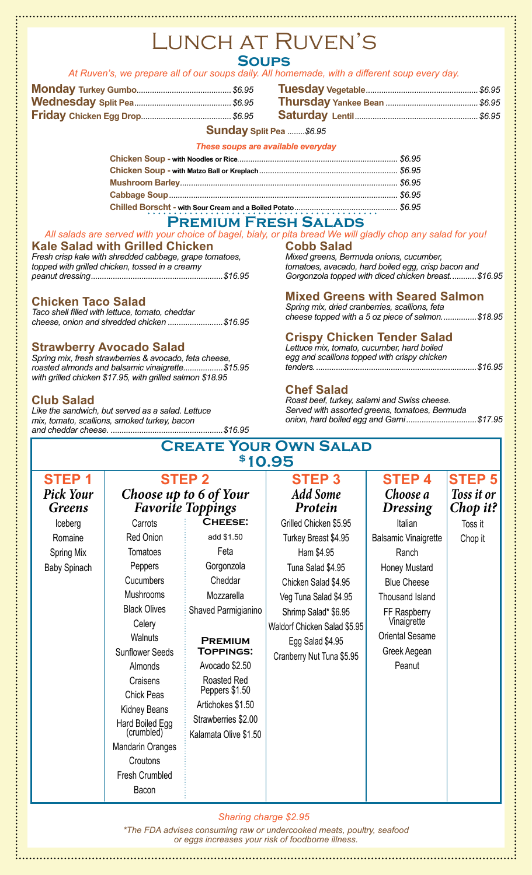### Lunch at Ruven's **Soups**

#### *At Ruven's, we prepare all of our soups daily. All homemade, with a different soup every day.*

#### **Sunday Split Pea** *........\$6.95*

#### *These soups are available everyday*

#### **Premium Fresh Salads**

#### *All salads are served with your choice of bagel, bialy, or pita bread We will gladly chop any salad for you!* **Kale Salad with Grilled Chicken** *Fresh crisp kale with shredded cabbage, grape tomatoes, topped with grilled chicken, tossed in a creamy peanut dressing............................................................\$16.95* **Cobb Salad** *Mixed greens, Bermuda onions, cucumber, tomatoes, avacado, hard boiled egg, crisp bacon and*

### **Chicken Taco Salad**

*Taco shell filled with lettuce, tomato, cheddar cheese, onion and shredded chicken .........................\$16.95*

#### **Strawberry Avocado Salad**

*Spring mix, fresh strawberries & avocado, feta cheese, roasted almonds and balsamic vinaigrette..................\$15.95 with grilled chicken \$17.95, with grilled salmon \$18.95*

#### **Club Salad**

*Like the sandwich, but served as a salad. Lettuce mix, tomato, scallions, smoked turkey, bacon and cheddar cheese. ...................................................\$16.95* *Gorgonzola topped with diced chicken breast............\$16.95*

#### **Mixed Greens with Seared Salmon**

*Spring mix, dried cranberries, scallions, feta cheese topped with a 5 oz piece of salmon................\$18.95*

### **Crispy Chicken Tender Salad**

*Lettuce mix, tomato, cucumber, hard boiled egg and scallions topped with crispy chicken tenders..........................................................................\$16.95*

#### **Chef Salad**

*Roast beef, turkey, salami and Swiss cheese. Served with assorted greens, tomatoes, Bermuda onion, hard boiled egg and Garni................................\$17.95*

| <b>CREATE YOUR OWN SALAD</b> |  |
|------------------------------|--|
| \$10.95                      |  |

| <b>STEP1</b>                      | <b>STEP 2</b>                                      |                       | <b>STEP3</b>                 | <b>STEP4</b>                | <b>STEP 5</b>          |
|-----------------------------------|----------------------------------------------------|-----------------------|------------------------------|-----------------------------|------------------------|
| <b>Pick Your</b><br><b>Greens</b> | Choose up to 6 of Your<br><b>Favorite Toppings</b> |                       | <b>Add Some</b><br>Protein   | Choose a<br><b>Dressing</b> | Toss it or<br>Chop it? |
| Iceberg                           | Carrots                                            | <b>CHEESE:</b>        | Grilled Chicken \$5.95       | Italian                     | Toss it                |
| Romaine                           | Red Onion                                          | add \$1.50            | Turkey Breast \$4.95         | <b>Balsamic Vinaigrette</b> | Chop it                |
| Spring Mix                        | Tomatoes                                           | Feta                  | Ham \$4.95                   | Ranch                       |                        |
| <b>Baby Spinach</b>               | Peppers                                            | Gorgonzola            | Tuna Salad \$4.95            | Honey Mustard               |                        |
|                                   | Cucumbers                                          | Cheddar               | Chicken Salad \$4.95         | <b>Blue Cheese</b>          |                        |
|                                   | Mushrooms                                          | Mozzarella            | Veg Tuna Salad \$4.95        | <b>Thousand Island</b>      |                        |
|                                   | <b>Black Olives</b>                                | Shaved Parmigianino   | Shrimp Salad* \$6.95         | FF Raspberry                |                        |
|                                   | Celery                                             |                       | Waldorf Chicken Salad \$5.95 | Vinaigrette                 |                        |
|                                   | Walnuts                                            | <b>PREMIUM</b>        | Egg Salad \$4.95             | <b>Oriental Sesame</b>      |                        |
|                                   | <b>Sunflower Seeds</b>                             | <b>TOPPINGS:</b>      | Cranberry Nut Tuna \$5.95    | Greek Aegean                |                        |
|                                   | Almonds                                            | Avocado \$2.50        |                              | Peanut                      |                        |
|                                   | Craisens                                           | Roasted Red           |                              |                             |                        |
|                                   | <b>Chick Peas</b>                                  | Peppers \$1.50        |                              |                             |                        |
|                                   | Kidney Beans                                       | Artichokes \$1.50     |                              |                             |                        |
|                                   | Hard Boiled Egg<br>(crumbled)                      | Strawberries \$2.00   |                              |                             |                        |
|                                   |                                                    | Kalamata Olive \$1.50 |                              |                             |                        |
|                                   | <b>Mandarin Oranges</b>                            |                       |                              |                             |                        |
|                                   | Croutons                                           |                       |                              |                             |                        |
|                                   | Fresh Crumbled                                     |                       |                              |                             |                        |
|                                   | Bacon                                              |                       |                              |                             |                        |

*Sharing charge \$2.95*

*\*The FDA advises consuming raw or undercooked meats, poultry, seafood or eggs increases your risk of foodborne illness.*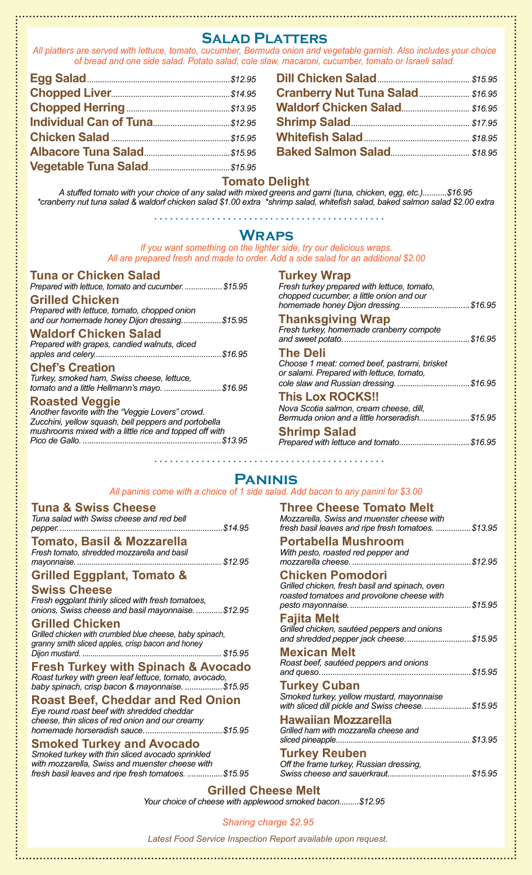### **Salad Platters**

*All platters are served with lettuce, tomato, cucumber, Bermuda onion and vegetable garnish. Also includes your choice of bread and one side salad. Potato salad, cole slaw, macaroni, cucumber, tomato or Israeli salad.*

| Cranberry Nut Tuna Salad \$16.95 |  |
|----------------------------------|--|
|                                  |  |
|                                  |  |
|                                  |  |
|                                  |  |

#### **Tomato Delight**

*A stuffed tomato with your choice of any salad with mixed greens and garni (tuna, chicken, egg, etc.)...........\$16.95 \*cranberry nut tuna salad & waldorf chicken salad \$1.00 extra \*shrimp salad, whitefish salad, baked salmon salad \$2.00 extra*

#### **Wraps**

*If you want something on the lighter side, try our delicious wraps. All are prepared fresh and made to order. Add a side salad for an additional \$2.00*

#### **Tuna or Chicken Salad** *Prepared with lettuce, tomato and cucumber. ..................\$15.95*

**Grilled Chicken** *Prepared with lettuce, tomato, chopped onion and our homemade honey Dijon dressing..................\$15.95*

#### **Waldorf Chicken Salad**

*Prepared with grapes, candied walnuts, diced apples and celery..........................................................\$16.95*

#### **Chef's Creation**

*Turkey, smoked ham, Swiss cheese, lettuce, tomato and a little Hellmann's mayo. ..........................\$16.95*

#### **Roasted Veggie**

*Another favorite with the "Veggie Lovers" crowd. Zucchini, yellow squash, bell peppers and portobella mushrooms mixed with a little rice and topped off with Pico de Gallo. ...............................................................\$13.95*

#### **Turkey Wrap**

*Fresh turkey prepared with lettuce, tomato, chopped cucumber, a little onion and our homemade honey Dijon dressing................................\$16.95*

#### **Thanksgiving Wrap**

*Fresh turkey, homemade cranberry compote and sweet potato..........................................................\$16.95*

#### **The Deli**

*Choose 1 meat: corned beef, pastrami, brisket or salami. Prepared with lettuce, tomato, cole slaw and Russian dressing..................................\$16.95*

#### **This Lox ROCKS!!**

*Nova Scotia salmon, cream cheese, dill, Bermuda onion and a little horseradish.......................\$15.95* **Shrimp Salad**

| <b>UNINIP UGIQU</b> |                                         |  |
|---------------------|-----------------------------------------|--|
|                     | Prepared with lettuce and tomato\$16.95 |  |

#### **Paninis**

#### *All paninis come with a choice of 1 side salad. Add bacon to any panini for \$3.00*

#### **Tuna & Swiss Cheese**

| Tamata Daail 0 Ma--aralla                 |  |  |
|-------------------------------------------|--|--|
|                                           |  |  |
|                                           |  |  |
| Tuna salad with Swiss cheese and red bell |  |  |

**Tomato, Basil & Mozzarella** *Fresh tomato, shredded mozzarella and basil mayonnaise. ..................................................................... \$12.95*

### **Grilled Eggplant, Tomato &**

#### **Swiss Cheese**

*Fresh eggplant thinly sliced with fresh tomatoes, onions, Swiss cheese and basil mayonnaise. ............\$12.95*

#### **Grilled Chicken**

*Grilled chicken with crumbled blue cheese, baby spinach, granny smith sliced apples, crisp bacon and honey Dijon mustard. .................................................................... \$15.95*

#### **Fresh Turkey with Spinach & Avocado**

*Roast turkey with green leaf lettuce, tomato, avocado, baby spinach, crisp bacon & mayonnaise. .................\$15.95*

#### **Roast Beef, Cheddar and Red Onion**

*Eye round roast beef with shredded cheddar cheese, thin slices of red onion and our creamy homemade horseradish sauce....................................\$15.95*

#### **Smoked Turkey and Avocado**

*Smoked turkey with thin sliced avocado sprinkled with mozzarella, Swiss and muenster cheese with fresh basil leaves and ripe fresh tomatoes. ................\$15.95*

| <b>Three Cheese Tomato Melt</b><br>Mozzarella, Swiss and muenster cheese with<br>fresh basil leaves and ripe fresh tomatoes. \$13.95 |
|--------------------------------------------------------------------------------------------------------------------------------------|
| <b>Portabella Mushroom</b><br>With pesto, roasted red pepper and<br>mozzarella cheese.<br>. 512.95                                   |
| <b>Chicken Pomodori</b><br>Grilled chicken, fresh basil and spinach, oven<br>roasted tomatoes and provolone cheese with              |
| Fajita Melt<br>Grilled chicken, sautéed peppers and onions<br>and shredded pepper jack cheese\$15.95                                 |
| Mexican Melt<br>Roast beef, sautéed peppers and onions                                                                               |
| <b>Turkey Cuban</b><br>Smoked turkey, yellow mustard, mayonnaise<br>with sliced dill pickle and Swiss cheese\$15.95                  |
| <b>Hawaiian Mozzarella</b><br>Grilled ham with mozzarella cheese and                                                                 |
| <b>Turkey Reuben</b><br>Off the frame turkey, Russian dressing,                                                                      |

**Grilled Cheese Melt**

*Your choice of cheese with applewood smoked bacon.........\$12.95*

#### *Sharing charge \$2.95*

*Latest Food Service Inspection Report available upon request.*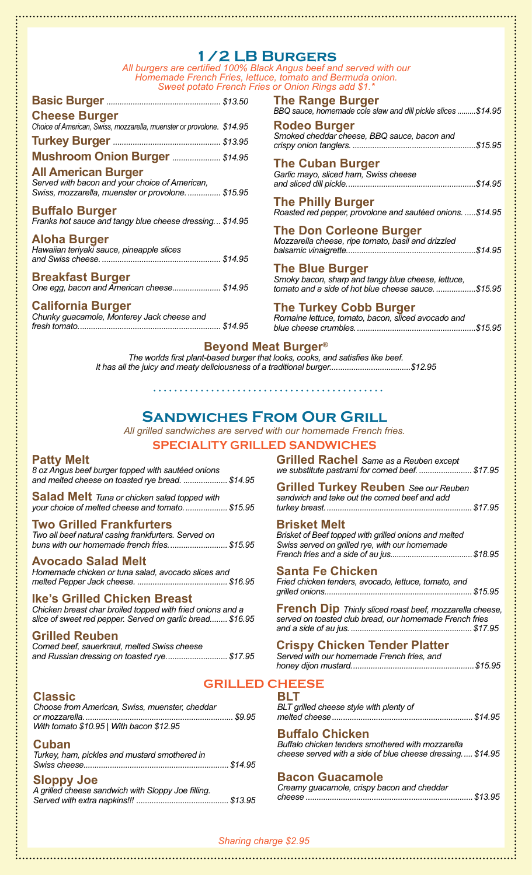### **1/2 LB Burgers**

*All burgers are certified 100% Black Angus beef and served with our Homemade French Fries, lettuce, tomato and Bermuda onion. Sweet potato French Fries or Onion Rings add \$1.\**

| <b>Cheese Burger</b><br>Choice of American, Swiss, mozzarella, muenster or provolone. \$14.95 |  |
|-----------------------------------------------------------------------------------------------|--|
|                                                                                               |  |
| <b>Mushroom Onion Burger  \$14.95</b>                                                         |  |

**All American Burger** *Served with bacon and your choice of American, Swiss, mozzarella, muenster or provolone................ \$15.95*

#### **Buffalo Burger**

*Franks hot sauce and tangy blue cheese dressing... \$14.95*

#### **Aloha Burger**

| Hawaiian teriyaki sauce, pineapple slices |  |  |
|-------------------------------------------|--|--|
|                                           |  |  |

#### **Breakfast Burger**

*One egg, bacon and American cheese...................... \$14.95*

#### **California Burger**

*Chunky guacamole, Monterey Jack cheese and fresh tomato................................................................. \$14.95*

| BBQ sauce, homemade cole slaw and dill pickle slices \$14.95                          |
|---------------------------------------------------------------------------------------|
| <b>Rodeo Burger</b><br>Smoked cheddar cheese, BBQ sauce, bacon and                    |
| <b>The Cuban Burger</b><br>Garlic mayo, sliced ham, Swiss cheese                      |
| <b>The Philly Burger</b><br>Roasted red pepper, provolone and sautéed onions. \$14.95 |

#### **The Don Corleone Burger** *Mozzarella cheese, ripe tomato, basil and drizzled*

*balsamic vinaigrette...........................................................\$14.95*

#### **The Blue Burger**

**The Range Burger**

*Smoky bacon, sharp and tangy blue cheese, lettuce, tomato and a side of hot blue cheese sauce...................\$15.95*

#### **The Turkey Cobb Burger**

*Romaine lettuce, tomato, bacon, sliced avocado and blue cheese crumbles.......................................................\$15.95*

#### **Beyond Meat Burger®**

*The worlds first plant-based burger that looks, cooks, and satisfies like beef. It has all the juicy and meaty deliciousness of a traditional burger.....................................\$12.95*

### **Sandwiches From Our Grill**

*All grilled sandwiches are served with our homemade French fries.*

#### **SPECIALITY GRILLED SANDWICHES**

#### **Patty Melt**

*8 oz Angus beef burger topped with sautéed onions and melted cheese on toasted rye bread. ....................\$14.95*

**Salad Melt** *Tuna or chicken salad topped with your choice of melted cheese and tomato....................\$15.95*

#### **Two Grilled Frankfurters**

*Two all beef natural casing frankfurters. Served on buns with our homemade french fries...........................\$15.95*

#### **Avocado Salad Melt**

*Homemade chicken or tuna salad, avocado slices and melted Pepper Jack cheese. .........................................\$16.95* 

#### **Ike's Grilled Chicken Breast**

*Chicken breast char broiled topped with fried onions and a slice of sweet red pepper. Served on garlic bread........ \$16.95*

#### **Grilled Reuben**

| Corned beef, sauerkraut, melted Swiss cheese |  |                                             |  |
|----------------------------------------------|--|---------------------------------------------|--|
|                                              |  | and Russian dressing on toasted rye \$17.95 |  |

#### **GRILLED CHEESE**

#### **Classic**

| Choose from American, Swiss, muenster, cheddar |  |
|------------------------------------------------|--|
|                                                |  |
| With tomato \$10.95   With bacon \$12.95       |  |

#### **Cuban**

| Turkey, ham, pickles and mustard smothered in |  |
|-----------------------------------------------|--|
|                                               |  |
|                                               |  |

#### **Sloppy Joe**

| A grilled cheese sandwich with Sloppy Joe filling. |  |
|----------------------------------------------------|--|
|                                                    |  |

**Grilled Rachel** *Same as a Reuben except we substitute pastrami for corned beef. ........................\$17.95*

**Grilled Turkey Reuben** *See our Reuben sandwich and take out the corned beef and add turkey breast...................................................................\$17.95*

#### **Brisket Melt**

*Brisket of Beef topped with grilled onions and melted Swiss served on grilled rye, with our homemade French fries and a side of au jus......................................\$18.95*

#### **Santa Fe Chicken**

*Fried chicken tenders, avocado, lettuce, tomato, and grilled onions...................................................................\$15.95* 

**French Dip** *Thinly sliced roast beef, mozzarella cheese, served on toasted club bread, our homemade French fries and a side of au jus. .......................................................\$17.95*

#### **Crispy Chicken Tender Platter**

*Served with our homemade French fries, and honey dijon mustard........................................................\$15.95*

| <b>BLT</b>                              |  |
|-----------------------------------------|--|
| BLT grilled cheese style with plenty of |  |
|                                         |  |

#### **Buffalo Chicken**

*Buffalo chicken tenders smothered with mozzarella cheese served with a side of blue cheese dressing..... \$14.95*

#### **Bacon Guacamole**

*Creamy guacamole, crispy bacon and cheddar cheese ............................................................................\$13.95*

#### *Sharing charge \$2.95*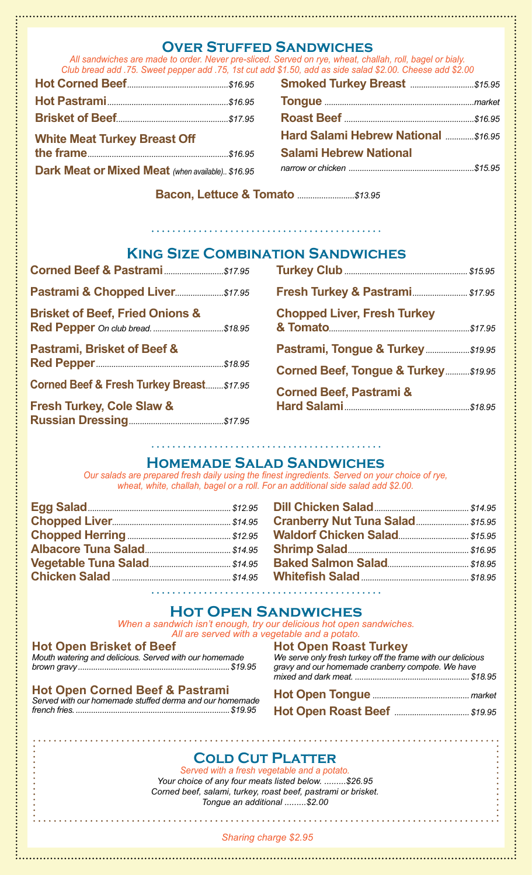#### **Over Stuffed Sandwiches**

*All sandwiches are made to order. Never pre-sliced. Served on rye, wheat, challah, roll, bagel or bialy. Club bread add .75. Sweet pepper add .75, 1st cut add \$1.50, add as side salad \$2.00. Cheese add \$2.00*

| <u>, olan ni oda dad .i o. Oliool poppol dad .i o, iol od</u> |  |
|---------------------------------------------------------------|--|
|                                                               |  |
|                                                               |  |
|                                                               |  |
| <b>White Meat Turkey Breast Off</b>                           |  |
|                                                               |  |
| Dark Meat or Mixed Meat (when available) \$16.95              |  |

| <b>Smoked Turkey Breast  \$15.95</b> |  |
|--------------------------------------|--|
|                                      |  |
|                                      |  |
| Hard Salami Hebrew National \$16.95  |  |
| <b>Salami Hebrew National</b>        |  |
|                                      |  |
|                                      |  |

**Bacon, Lettuce & Tomato** *..........................\$13.95*

### **King Size Combination Sandwiches**

| Pastrami & Chopped Liver \$17.95                    |
|-----------------------------------------------------|
|                                                     |
|                                                     |
| <b>Corned Beef &amp; Fresh Turkey Breast\$17.95</b> |
|                                                     |
|                                                     |

## **Turkey Club***........................................................\$15.95*  **Fresh Turkey & Pastrami***......................... \$17.95* **Chopped Liver, Fresh Turkey & Tomato***................................................................\$17.95* **Pastrami, Tongue & Turkey***....................\$19.95* **Corned Beef, Tongue & Turkey***...........\$19.95* **Corned Beef, Pastrami & Hard Salami***.........................................................\$18.95*

### **Homemade Salad Sandwiches**

*Our salads are prepared fresh daily using the finest ingredients. Served on your choice of rye, wheat, white, challah, bagel or a roll. For an additional side salad add \$2.00.*

| Cranberry Nut Tuna Salad \$15.95 |  |
|----------------------------------|--|
|                                  |  |
|                                  |  |
|                                  |  |
|                                  |  |
|                                  |  |

### **Hot Open Sandwiches**

*When a sandwich isn't enough, try our delicious hot open sandwiches. All are served with a vegetable and a potato.*

#### **Hot Open Brisket of Beef**

*Mouth watering and delicious. Served with our homemade brown gravy.....................................................................\$19.95*

#### **Hot Open Corned Beef & Pastrami**

*Served with our homemade stuffed derma and our homemade french fries.......................................................................\$19.95*

| <b>Hot Open Roast Turkey</b>                                |  |
|-------------------------------------------------------------|--|
| We serve only fresh turkey off the frame with our delicious |  |
| gravy and our homemade cranberry compote. We have           |  |
|                                                             |  |
|                                                             |  |

**Hot Open Roast Beef** *..................................\$19.95*

### **Cold Cut Platter**

*Served with a fresh vegetable and a potato. Your choice of any four meats listed below. .........\$26.95 Corned beef, salami, turkey, roast beef, pastrami or brisket. Tongue an additional .........\$2.00*

#### *Sharing charge \$2.95*